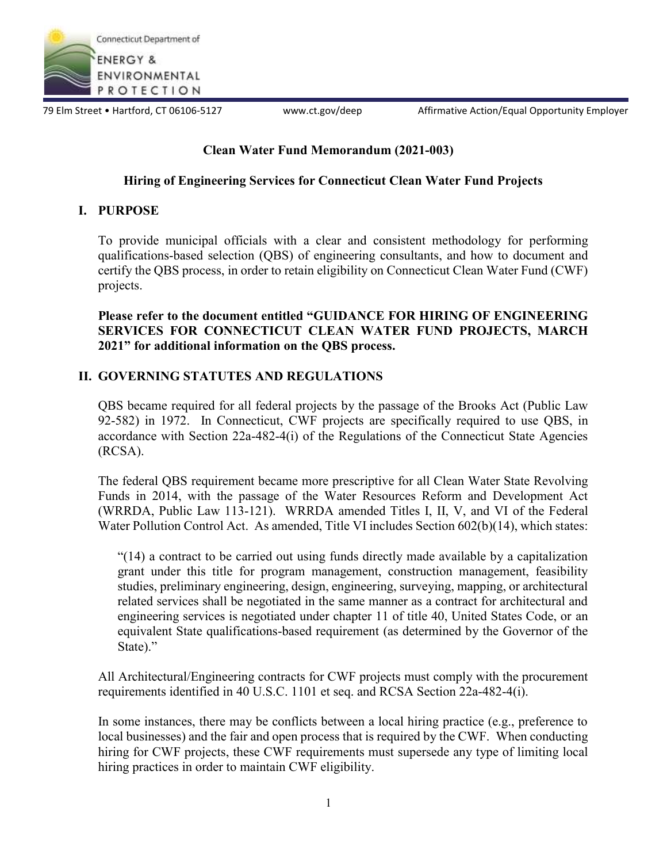

79 Elm Street • Hartford, CT 06106-5127 www.ct.gov/deep Affirmative Action/Equal Opportunity Employer

# **Clean Water Fund Memorandum (2021-003)**

# **Hiring of Engineering Services for Connecticut Clean Water Fund Projects**

# **I. PURPOSE**

To provide municipal officials with a clear and consistent methodology for performing qualifications-based selection (QBS) of engineering consultants, and how to document and certify the QBS process, in order to retain eligibility on Connecticut Clean Water Fund (CWF) projects.

**Please refer to the document entitled "GUIDANCE FOR HIRING OF ENGINEERING SERVICES FOR CONNECTICUT CLEAN WATER FUND PROJECTS, MARCH 2021" for additional information on the QBS process.**

# **II. GOVERNING STATUTES AND REGULATIONS**

QBS became required for all federal projects by the passage of the Brooks Act (Public Law 92-582) in 1972. In Connecticut, CWF projects are specifically required to use QBS, in accordance with Section 22a-482-4(i) of the Regulations of the Connecticut State Agencies (RCSA).

The federal QBS requirement became more prescriptive for all Clean Water State Revolving Funds in 2014, with the passage of the Water Resources Reform and Development Act (WRRDA, Public Law 113-121). WRRDA amended Titles I, II, V, and VI of the Federal Water Pollution Control Act. As amended, Title VI includes Section 602(b)(14), which states:

"(14) a contract to be carried out using funds directly made available by a capitalization grant under this title for program management, construction management, feasibility studies, preliminary engineering, design, engineering, surveying, mapping, or architectural related services shall be negotiated in the same manner as a contract for architectural and engineering services is negotiated under chapter 11 of title 40, United States Code, or an equivalent State qualifications-based requirement (as determined by the Governor of the State)."

All Architectural/Engineering contracts for CWF projects must comply with the procurement requirements identified in 40 U.S.C. 1101 et seq. and RCSA Section 22a-482-4(i).

In some instances, there may be conflicts between a local hiring practice (e.g., preference to local businesses) and the fair and open process that is required by the CWF. When conducting hiring for CWF projects, these CWF requirements must supersede any type of limiting local hiring practices in order to maintain CWF eligibility.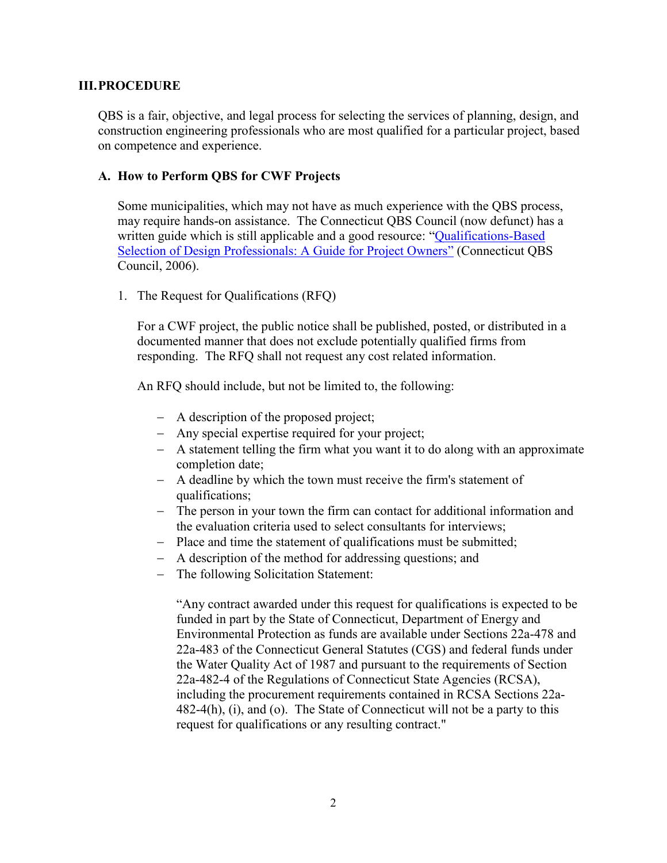#### **III.PROCEDURE**

QBS is a fair, objective, and legal process for selecting the services of planning, design, and construction engineering professionals who are most qualified for a particular project, based on competence and experience.

#### **A. How to Perform QBS for CWF Projects**

Some municipalities, which may not have as much experience with the QBS process, may require hands-on assistance. The Connecticut QBS Council (now defunct) has a written guide which is still applicable and a good resource: "Qualifications-Based Selection of Design Professionals: A Guide for Project Owners" (Connecticut QBS Council, 2006).

1. The Request for Qualifications (RFQ)

For a CWF project, the public notice shall be published, posted, or distributed in a documented manner that does not exclude potentially qualified firms from responding. The RFQ shall not request any cost related information.

An RFQ should include, but not be limited to, the following:

- A description of the proposed project;
- Any special expertise required for your project;
- A statement telling the firm what you want it to do along with an approximate completion date;
- A deadline by which the town must receive the firm's statement of qualifications;
- The person in your town the firm can contact for additional information and the evaluation criteria used to select consultants for interviews;
- Place and time the statement of qualifications must be submitted;
- A description of the method for addressing questions; and
- The following Solicitation Statement:

"Any contract awarded under this request for qualifications is expected to be funded in part by the State of Connecticut, Department of Energy and Environmental Protection as funds are available under Sections 22a-478 and 22a-483 of the Connecticut General Statutes (CGS) and federal funds under the Water Quality Act of 1987 and pursuant to the requirements of Section 22a-482-4 of the Regulations of Connecticut State Agencies (RCSA), including the procurement requirements contained in RCSA Sections 22a-482-4(h), (i), and (o). The State of Connecticut will not be a party to this request for qualifications or any resulting contract."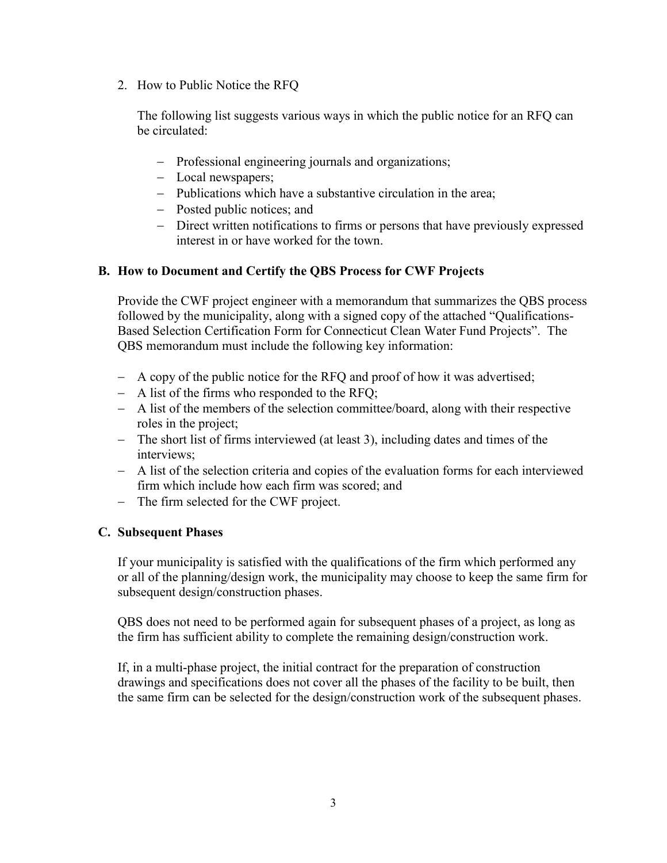2. How to Public Notice the RFQ

The following list suggests various ways in which the public notice for an RFQ can be circulated:

- Professional engineering journals and organizations;
- Local newspapers;
- Publications which have a substantive circulation in the area;
- Posted public notices; and
- Direct written notifications to firms or persons that have previously expressed interest in or have worked for the town.

### **B. How to Document and Certify the QBS Process for CWF Projects**

Provide the CWF project engineer with a memorandum that summarizes the QBS process followed by the municipality, along with a signed copy of the attached "Qualifications-Based Selection Certification Form for Connecticut Clean Water Fund Projects". The QBS memorandum must include the following key information:

- A copy of the public notice for the RFQ and proof of how it was advertised;
- A list of the firms who responded to the RFQ;
- A list of the members of the selection committee/board, along with their respective roles in the project;
- The short list of firms interviewed (at least 3), including dates and times of the interviews;
- A list of the selection criteria and copies of the evaluation forms for each interviewed firm which include how each firm was scored; and
- The firm selected for the CWF project.

### **C. Subsequent Phases**

If your municipality is satisfied with the qualifications of the firm which performed any or all of the planning/design work, the municipality may choose to keep the same firm for subsequent design/construction phases.

QBS does not need to be performed again for subsequent phases of a project, as long as the firm has sufficient ability to complete the remaining design/construction work.

If, in a multi-phase project, the initial contract for the preparation of construction drawings and specifications does not cover all the phases of the facility to be built, then the same firm can be selected for the design/construction work of the subsequent phases.